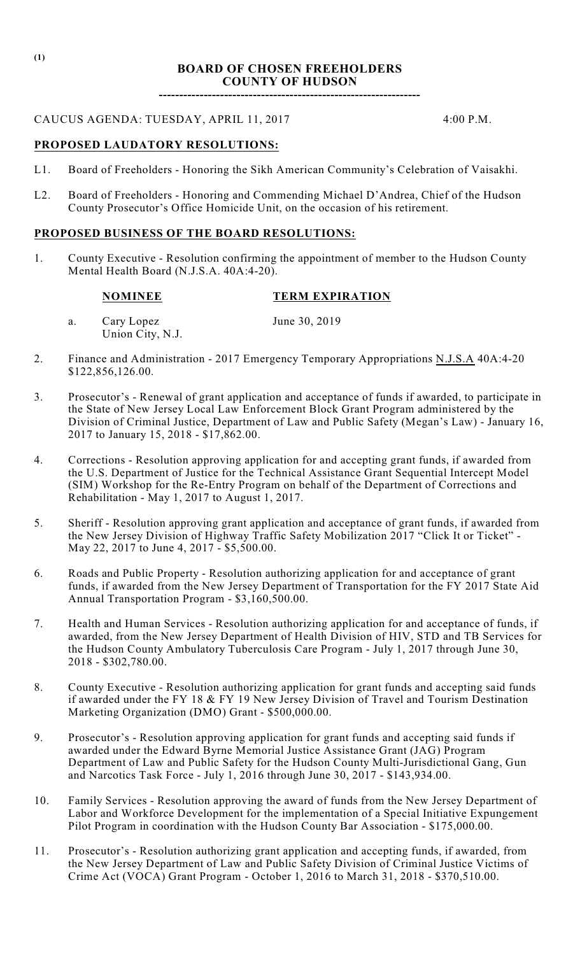**----------------------------------------------------------------**

# CAUCUS AGENDA: TUESDAY, APRIL 11, 2017 4:00 P.M.

### **PROPOSED LAUDATORY RESOLUTIONS:**

- L1. Board of Freeholders Honoring the Sikh American Community's Celebration of Vaisakhi.
- L2. Board of Freeholders Honoring and Commending Michael D'Andrea, Chief of the Hudson County Prosecutor's Office Homicide Unit, on the occasion of his retirement.

### **PROPOSED BUSINESS OF THE BOARD RESOLUTIONS:**

1. County Executive - Resolution confirming the appointment of member to the Hudson County Mental Health Board (N.J.S.A. 40A:4-20).

#### **NOMINEE TERM EXPIRATION**

a. Cary Lopez June 30, 2019 Union City, N.J.

- 2. Finance and Administration 2017 Emergency Temporary Appropriations N.J.S.A 40A:4-20 \$122,856,126.00.
- 3. Prosecutor's Renewal of grant application and acceptance of funds if awarded, to participate in the State of New Jersey Local Law Enforcement Block Grant Program administered by the Division of Criminal Justice, Department of Law and Public Safety (Megan's Law) - January 16, 2017 to January 15, 2018 - \$17,862.00.
- 4. Corrections Resolution approving application for and accepting grant funds, if awarded from the U.S. Department of Justice for the Technical Assistance Grant Sequential Intercept Model (SIM) Workshop for the Re-Entry Program on behalf of the Department of Corrections and Rehabilitation - May 1, 2017 to August 1, 2017.
- 5. Sheriff Resolution approving grant application and acceptance of grant funds, if awarded from the New Jersey Division of Highway Traffic Safety Mobilization 2017 "Click It or Ticket" - May 22, 2017 to June 4, 2017 - \$5,500.00.
- 6. Roads and Public Property Resolution authorizing application for and acceptance of grant funds, if awarded from the New Jersey Department of Transportation for the FY 2017 State Aid Annual Transportation Program - \$3,160,500.00.
- 7. Health and Human Services Resolution authorizing application for and acceptance of funds, if awarded, from the New Jersey Department of Health Division of HIV, STD and TB Services for the Hudson County Ambulatory Tuberculosis Care Program - July 1, 2017 through June 30, 2018 - \$302,780.00.
- 8. County Executive Resolution authorizing application for grant funds and accepting said funds if awarded under the FY 18 & FY 19 New Jersey Division of Travel and Tourism Destination Marketing Organization (DMO) Grant - \$500,000.00.
- 9. Prosecutor's Resolution approving application for grant funds and accepting said funds if awarded under the Edward Byrne Memorial Justice Assistance Grant (JAG) Program Department of Law and Public Safety for the Hudson County Multi-Jurisdictional Gang, Gun and Narcotics Task Force - July 1, 2016 through June 30, 2017 - \$143,934.00.
- 10. Family Services Resolution approving the award of funds from the New Jersey Department of Labor and Workforce Development for the implementation of a Special Initiative Expungement Pilot Program in coordination with the Hudson County Bar Association - \$175,000.00.
- 11. Prosecutor's Resolution authorizing grant application and accepting funds, if awarded, from the New Jersey Department of Law and Public Safety Division of Criminal Justice Victims of Crime Act (VOCA) Grant Program - October 1, 2016 to March 31, 2018 - \$370,510.00.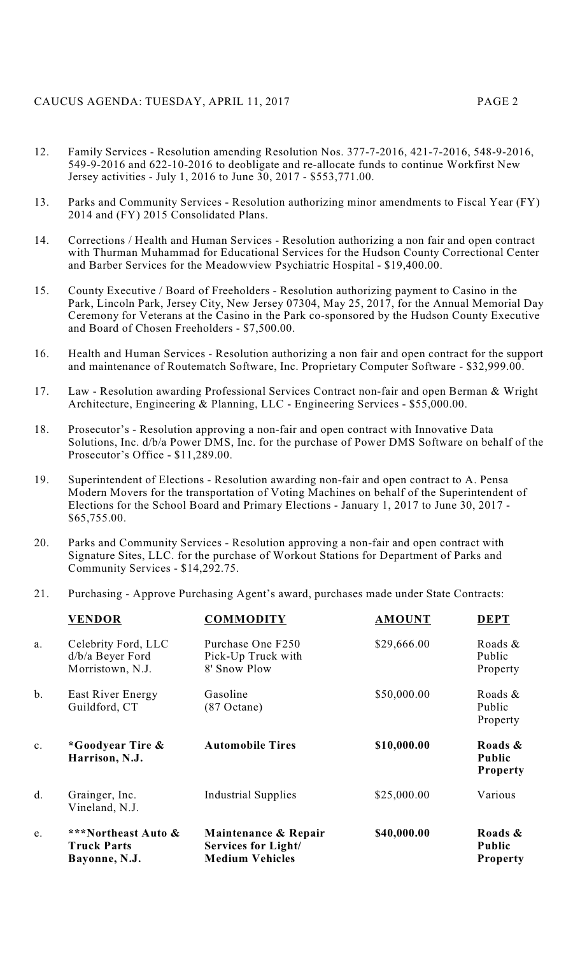# CAUCUS AGENDA: TUESDAY, APRIL 11, 2017 PAGE 2

- 12. Family Services Resolution amending Resolution Nos. 377-7-2016, 421-7-2016, 548-9-2016, 549-9-2016 and 622-10-2016 to deobligate and re-allocate funds to continue Workfirst New Jersey activities - July 1, 2016 to June 30, 2017 - \$553,771.00.
- 13. Parks and Community Services Resolution authorizing minor amendments to Fiscal Year (FY) 2014 and (FY) 2015 Consolidated Plans.
- 14. Corrections / Health and Human Services Resolution authorizing a non fair and open contract with Thurman Muhammad for Educational Services for the Hudson County Correctional Center and Barber Services for the Meadowview Psychiatric Hospital - \$19,400.00.
- 15. County Executive / Board of Freeholders Resolution authorizing payment to Casino in the Park, Lincoln Park, Jersey City, New Jersey 07304, May 25, 2017, for the Annual Memorial Day Ceremony for Veterans at the Casino in the Park co-sponsored by the Hudson County Executive and Board of Chosen Freeholders - \$7,500.00.
- 16. Health and Human Services Resolution authorizing a non fair and open contract for the support and maintenance of Routematch Software, Inc. Proprietary Computer Software - \$32,999.00.
- 17. Law Resolution awarding Professional Services Contract non-fair and open Berman & Wright Architecture, Engineering & Planning, LLC - Engineering Services - \$55,000.00.
- 18. Prosecutor's Resolution approving a non-fair and open contract with Innovative Data Solutions, Inc. d/b/a Power DMS, Inc. for the purchase of Power DMS Software on behalf of the Prosecutor's Office - \$11,289.00.
- 19. Superintendent of Elections Resolution awarding non-fair and open contract to A. Pensa Modern Movers for the transportation of Voting Machines on behalf of the Superintendent of Elections for the School Board and Primary Elections - January 1, 2017 to June 30, 2017 - \$65,755.00.
- 20. Parks and Community Services Resolution approving a non-fair and open contract with Signature Sites, LLC. for the purchase of Workout Stations for Department of Parks and Community Services - \$14,292.75.
- 21. Purchasing Approve Purchasing Agent's award, purchases made under State Contracts:

| <b>VENDOR</b>                                               | <b>COMMODITY</b>                                                             | <b>AMOUNT</b> | <b>DEPT</b>                                 |
|-------------------------------------------------------------|------------------------------------------------------------------------------|---------------|---------------------------------------------|
| Celebrity Ford, LLC<br>d/b/a Beyer Ford<br>Morristown, N.J. | Purchase One F250<br>Pick-Up Truck with<br>8' Snow Plow                      | \$29,666.00   | Roads &<br>Public<br>Property               |
| East River Energy<br>Guildford, CT                          | Gasoline<br>$(87$ Octane)                                                    | \$50,000.00   | Roads $\&$<br>Public<br>Property            |
| <i>*</i> Goodyear Tire &<br>Harrison, N.J.                  | <b>Automobile Tires</b>                                                      | \$10,000.00   | Roads &<br><b>Public</b><br><b>Property</b> |
| Grainger, Inc.<br>Vineland, N.J.                            | Industrial Supplies                                                          | \$25,000.00   | Various                                     |
| ***Northeast Auto &<br><b>Truck Parts</b><br>Bayonne, N.J.  | Maintenance & Repair<br><b>Services for Light/</b><br><b>Medium Vehicles</b> | \$40,000.00   | Roads &<br><b>Public</b><br><b>Property</b> |
|                                                             |                                                                              |               |                                             |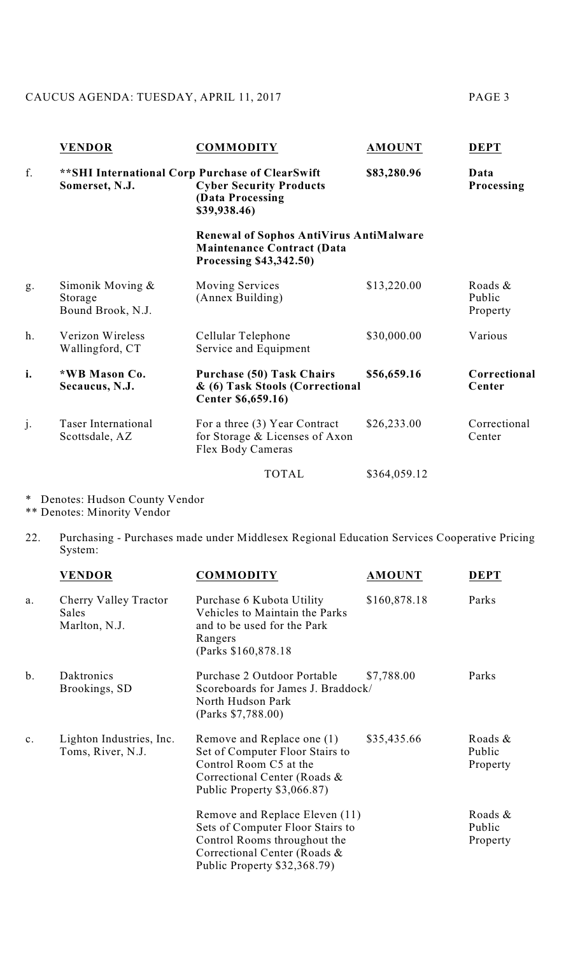# CAUCUS AGENDA: TUESDAY, APRIL 11, 2017 PAGE 3

|    | <b>VENDOR</b>                                    | <b>COMMODITY</b>                                                                                                       | <b>AMOUNT</b> | <b>DEPT</b>                   |
|----|--------------------------------------------------|------------------------------------------------------------------------------------------------------------------------|---------------|-------------------------------|
| f. | Somerset, N.J.                                   | ** SHI International Corp Purchase of ClearSwift<br><b>Cyber Security Products</b><br>(Data Processing<br>\$39,938.46) | \$83,280.96   | Data<br>Processing            |
|    |                                                  | <b>Renewal of Sophos AntiVirus AntiMalware</b><br>Maintenance Contract (Data<br>Processing \$43,342.50)                |               |                               |
| g. | Simonik Moving &<br>Storage<br>Bound Brook, N.J. | <b>Moving Services</b><br>(Annex Building)                                                                             | \$13,220.00   | Roads &<br>Public<br>Property |
| h. | Verizon Wireless<br>Wallingford, CT              | Cellular Telephone<br>Service and Equipment                                                                            | \$30,000.00   | Various                       |
| i. | *WB Mason Co.<br>Secaucus, N.J.                  | <b>Purchase (50) Task Chairs</b><br>& (6) Task Stools (Correctional<br>Center \$6,659.16)                              | \$56,659.16   | Correctional<br>Center        |
| j. | <b>Taser International</b><br>Scottsdale, AZ     | For a three (3) Year Contract<br>for Storage & Licenses of Axon<br>Flex Body Cameras                                   | \$26,233.00   | Correctional<br>Center        |
|    |                                                  | <b>TOTAL</b>                                                                                                           | \$364,059.12  |                               |
|    |                                                  |                                                                                                                        |               |                               |

\* Denotes: Hudson County Vendor

\*\* Denotes: Minority Vendor

22. Purchasing - Purchases made under Middlesex Regional Education Services Cooperative Pricing System:

|    | <b>VENDOR</b>                                   | <b>COMMODITY</b>                                                                                                                                                   | <b>AMOUNT</b> | <b>DEPT</b>                      |
|----|-------------------------------------------------|--------------------------------------------------------------------------------------------------------------------------------------------------------------------|---------------|----------------------------------|
| a. | Cherry Valley Tractor<br>Sales<br>Marlton, N.J. | Purchase 6 Kubota Utility<br>Vehicles to Maintain the Parks<br>and to be used for the Park<br>Rangers<br>(Parks \$160,878.18)                                      | \$160,878.18  | Parks                            |
| b. | Daktronics<br>Brookings, SD                     | Purchase 2 Outdoor Portable<br>Scoreboards for James J. Braddock/<br>North Hudson Park<br>(Parks \$7,788.00)                                                       | \$7,788.00    | Parks                            |
| c. | Lighton Industries, Inc.<br>Toms, River, N.J.   | Remove and Replace one (1)<br>Set of Computer Floor Stairs to<br>Control Room C5 at the<br>Correctional Center (Roads &<br>Public Property \$3,066.87)             | \$35,435.66   | Roads $\&$<br>Public<br>Property |
|    |                                                 | Remove and Replace Eleven (11)<br>Sets of Computer Floor Stairs to<br>Control Rooms throughout the<br>Correctional Center (Roads &<br>Public Property \$32,368.79) |               | Roads &<br>Public<br>Property    |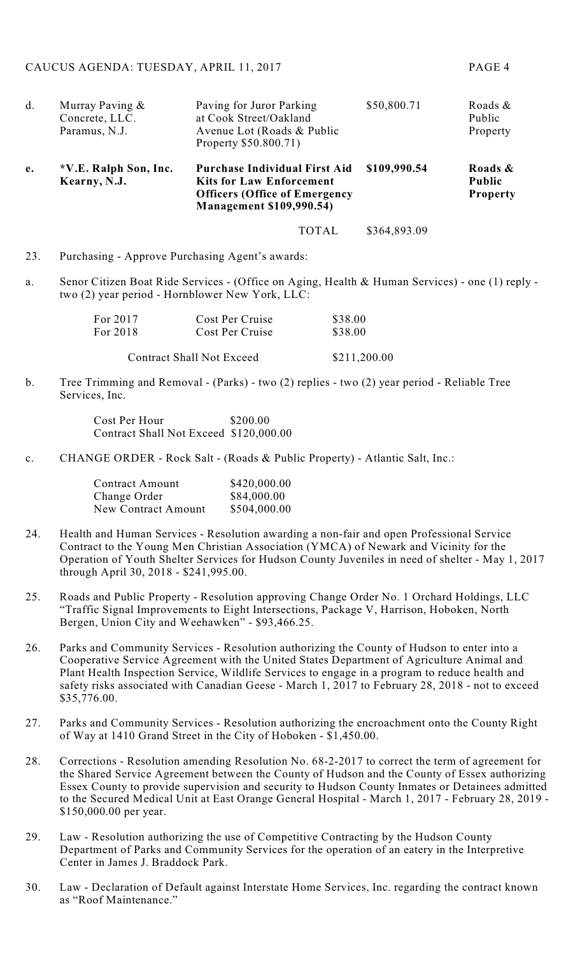| d. | Murray Paving &<br>Concrete, LLC.<br>Paramus, N.J. | Paving for Juror Parking<br>at Cook Street/Oakland<br>Avenue Lot (Roads & Public<br>Property \$50.800.71)                                          | \$50,800.71  | Roads $\&$<br>Public<br>Property            |
|----|----------------------------------------------------|----------------------------------------------------------------------------------------------------------------------------------------------------|--------------|---------------------------------------------|
| e. | *V.E. Ralph Son, Inc.<br>Kearny, N.J.              | <b>Purchase Individual First Aid</b><br><b>Kits for Law Enforcement</b><br><b>Officers (Office of Emergency</b><br><b>Management \$109,990.54)</b> | \$109,990.54 | Roads &<br><b>Public</b><br><b>Property</b> |
|    |                                                    | <b>TOTAL</b>                                                                                                                                       | \$364,893.09 |                                             |

- 23. Purchasing Approve Purchasing Agent's awards:
- a. Senor Citizen Boat Ride Services (Office on Aging, Health & Human Services) one (1) reply two (2) year period - Hornblower New York, LLC:

| For 2017                         | Cost Per Cruise | \$38.00      |  |
|----------------------------------|-----------------|--------------|--|
| For 2018                         | Cost Per Cruise | \$38.00      |  |
| <b>Contract Shall Not Exceed</b> |                 | \$211,200.00 |  |

b. Tree Trimming and Removal - (Parks) - two (2) replies - two (2) year period - Reliable Tree Services, Inc.

> Cost Per Hour \$200.00 Contract Shall Not Exceed \$120,000.00

c. CHANGE ORDER - Rock Salt - (Roads & Public Property) - Atlantic Salt, Inc.:

| <b>Contract Amount</b> | \$420,000.00 |
|------------------------|--------------|
| Change Order           | \$84,000.00  |
| New Contract Amount    | \$504,000.00 |

- 24. Health and Human Services Resolution awarding a non-fair and open Professional Service Contract to the Young Men Christian Association (YMCA) of Newark and Vicinity for the Operation of Youth Shelter Services for Hudson County Juveniles in need of shelter - May 1, 2017 through April 30, 2018 - \$241,995.00.
- 25. Roads and Public Property Resolution approving Change Order No. 1 Orchard Holdings, LLC "Traffic Signal Improvements to Eight Intersections, Package V, Harrison, Hoboken, North Bergen, Union City and Weehawken" - \$93,466.25.
- 26. Parks and Community Services Resolution authorizing the County of Hudson to enter into a Cooperative Service Agreement with the United States Department of Agriculture Animal and Plant Health Inspection Service, Wildlife Services to engage in a program to reduce health and safety risks associated with Canadian Geese - March 1, 2017 to February 28, 2018 - not to exceed \$35,776.00.
- 27. Parks and Community Services Resolution authorizing the encroachment onto the County Right of Way at 1410 Grand Street in the City of Hoboken - \$1,450.00.
- 28. Corrections Resolution amending Resolution No. 68-2-2017 to correct the term of agreement for the Shared Service Agreement between the County of Hudson and the County of Essex authorizing Essex County to provide supervision and security to Hudson County Inmates or Detainees admitted to the Secured Medical Unit at East Orange General Hospital - March 1, 2017 - February 28, 2019 - \$150,000.00 per year.
- 29. Law Resolution authorizing the use of Competitive Contracting by the Hudson County Department of Parks and Community Services for the operation of an eatery in the Interpretive Center in James J. Braddock Park.
- 30. Law Declaration of Default against Interstate Home Services, Inc. regarding the contract known as "Roof Maintenance."